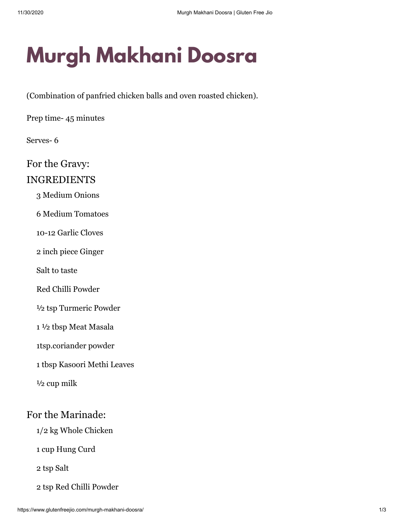# **Murgh Makhani Doosra**

(Combination of panfried chicken balls and oven roasted chicken).

Prep time- 45 minutes

Serves- 6

For the Gravy:

### INGREDIENTS

3 Medium Onions

6 Medium Tomatoes

10-12 Garlic Cloves

2 inch piece Ginger

Salt to taste

Red Chilli Powder

½ tsp Turmeric Powder

1 ½ tbsp Meat Masala

1tsp.coriander powder

1 tbsp Kasoori Methi Leaves

½ cup milk

## For the Marinade:

1/2 kg Whole Chicken

1 cup Hung Curd

2 tsp Salt

2 tsp Red Chilli Powder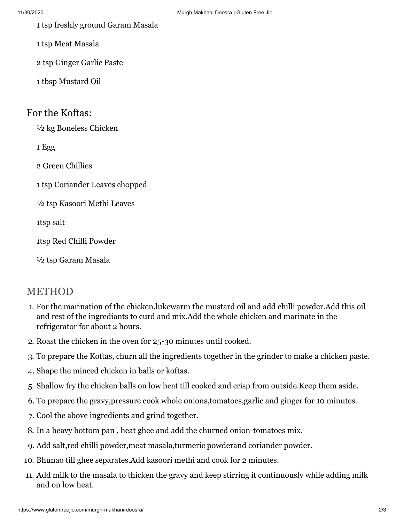- 1 tsp freshly ground Garam Masala
- 1 tsp Meat Masala
- 2 tsp Ginger Garlic Paste
- 1 tbsp Mustard Oil

#### For the Koftas:

½ kg Boneless Chicken

1 Egg

2 Green Chillies

1 tsp Coriander Leaves chopped

½ tsp Kasoori Methi Leaves

1tsp salt

1tsp Red Chilli Powder

½ tsp Garam Masala

## METHOD

- 1. For the marination of the chicken,lukewarm the mustard oil and add chilli powder.Add this oil and rest of the ingrediants to curd and mix.Add the whole chicken and marinate in the refrigerator for about 2 hours.
- 2. Roast the chicken in the oven for 25-30 minutes until cooked.
- 3. To prepare the Koftas, churn all the ingredients together in the grinder to make a chicken paste.
- 4. Shape the minced chicken in balls or koftas.
- 5. Shallow fry the chicken balls on low heat till cooked and crisp from outside.Keep them aside.
- 6. To prepare the gravy,pressure cook whole onions,tomatoes,garlic and ginger for 10 minutes.
- 7. Cool the above ingredients and grind together.
- 8. In a heavy bottom pan , heat ghee and add the churned onion-tomatoes mix.
- 9. Add salt,red chilli powder,meat masala,turmeric powderand coriander powder.
- 10. Bhunao till ghee separates.Add kasoori methi and cook for 2 minutes.
- 11. Add milk to the masala to thicken the gravy and keep stirring it continuously while adding milk and on low heat.